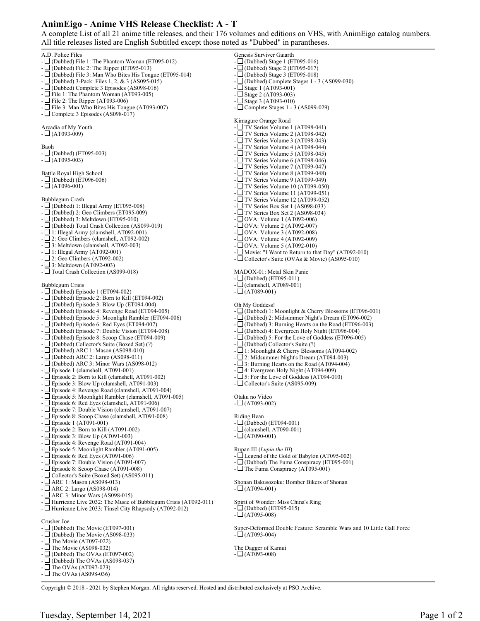## **AnimEigo - Anime VHS Release Checklist: A - T**

A complete List of all 21 anime title releases, and their 176 volumes and editions on VHS, with AnimEigo catalog numbers. All title releases listed are English Subtitled except those noted as "Dubbed" in parantheses.

Genesis Surviver Gaiarth

A.D. Police Files  $-\Box$  (Dubbed) File 1: The Phantom Woman (ET095-012)  $- \Box$ (Dubbed) File 2: The Ripper (ET095-013) - (Dubbed) File 3: Man Who Bites His Tongue (ET095-014) - (Dubbed) 3-Pack: Files 1, 2, & 3 (AS095-015) - (Dubbed) Complete 3 Episodes (AS098-016)  $-\Box$  File 1: The Phantom Woman (AT093-005)  $-\Box$  File 2: The Ripper (AT093-006)  $\exists$  File 3: Man Who Bites His Tongue (AT093-007) - Complete 3 Episodes (AS098-017) Arcadia of My Youth  $- \Box$  (AT093-009) Baoh  $-\Box$  (Dubbed) (ET095-003)  $- \Box$ (AT095-003) Battle Royal High School  $-\Box$ (Dubbed) (ET096-006)  $- \Box$ (AT096-001) Bubblegum Crash - (Dubbed) 1: Illegal Army (ET095-008) - (Dubbed) 2: Geo Climbers (ET095-009)  $-\Box$ (Dubbed) 3: Meltdown (ET095-010) - (Dubbed) Total Crash Collection (AS099-019) - 1: Illegal Army (clamshell, AT092-001) - 2: Geo Climbers (clamshell, AT092-002)  $-L$  3: Meltdown (clamshell, AT092-003) - 1: Illegal Army (AT092-001)  $-\Box$  2: Geo Climbers (AT092-002) - 3: Meltdown (AT092-003) - Total Crash Collection (AS099-018) Bubblegum Crisis  $-\Box$  (Dubbed) Episode 1 (ET094-002) - (Dubbed) Episode 2: Born to Kill (ET094-002)  $-\Box$ (Dubbed) Episode 3: Blow Up (ET094-004) - (Dubbed) Episode 4: Revenge Road (ET094-005) - (Dubbed) Episode 5: Moonlight Rambler (ET094-006) - (Dubbed) Episode 6: Red Eyes (ET094-007) - (Dubbed) Episode 7: Double Vision (ET094-008)  $-\Box$  (Dubbed) Episode 8: Scoop Chase (ET094-009) - (Dubbed) Collector's Suite (Boxed Set) (?) - (Dubbed) ARC 1: Mason (AS098-010) - (Dubbed) ARC 2: Largo (AS098-011) - (Dubbed) ARC 3: Minor Wars (AS098-012)  $-\Box$  Episode 1 (clamshell, AT091-001)  $-\Box$  Episode 2: Born to Kill (clamshell, AT091-002) - Episode 3: Blow Up (clamshell, AT091-003) - Episode 4: Revenge Road (clamshell, AT091-004) - Episode 5: Moonlight Rambler (clamshell, AT091-005) - Episode 6: Red Eyes (clamshell, AT091-006) - Episode 7: Double Vision (clamshell, AT091-007)  $-\Box$  Episode 8: Scoop Chase (clamshell, AT091-008) - Episode 1 (AT091-001) - Episode 2: Born to Kill (AT091-002) - Episode 3: Blow Up (AT091-003) - Episode 4: Revenge Road (AT091-004) - Episode 5: Moonlight Rambler (AT091-005)  $-\Box$  Episode 6: Red Eyes (AT091-006) - Episode 7: Double Vision (AT091-007) - Episode 8: Scoop Chase (AT091-008) - Collector's Suite (Boxed Set) (AS095-011)  $-$  ARC 1: Mason (AS098-013) - ARC 2: Largo (AS098-014) - ARC 3: Minor Wars (AS098-015) - Hurricane Live 2032: The Music of Bubblegum Crisis (AT092-011) - Hurricane Live 2033: Tinsel City Rhapsody (AT092-012) Crusher Joe  $-\Box$  (Dubbed) The Movie (ET097-001) - (Dubbed) The Movie (AS098-033) - The Movie (AT097-022)  $-\Box$  The Movie (AS098-032) - (Dubbed) The OVAs (ET097-002)  $-\Box$  (Dubbed) The OVAs (AS098-037)  $-\Box$  The OVAs (AT097-023) -  $\Box$  The OVAs (AS098-036)

 $-\Box$  (Dubbed) Stage 1 (ET095-016) - (Dubbed) Stage 2 (ET095-017) - (Dubbed) Stage 3 (ET095-018) - (Dubbed) Complete Stages 1 - 3 (AS099-030)  $-L$  Stage 1 (AT093-001) - Stage 2 (AT093-003)  $-\Box$  Stage 3 (AT093-010) - Complete Stages 1 - 3 (AS099-029) Kimagure Orange Road - TV Series Volume 1 (AT098-041) - TV Series Volume 2 (AT098-042)  $-$  TV Series Volume 3 (AT098-043) - TV Series Volume 4 (AT098-044) - TV Series Volume 5 (AT098-045) - TV Series Volume 6 (AT098-046)  $-$  TV Series Volume 7 (AT099-047) - TV Series Volume 8 (AT099-048)  $-$  TV Series Volume 9 (AT099-049) -  $\Box$  TV Series Volume 10 (AT099-050) - TV Series Volume 11 (AT099-051)  $-$  TV Series Volume 12 (AT099-052) - TV Series Box Set 1 (AS098-033)  $-$  TV Series Box Set 2 (AS098-034)  $- \Box$  OVA: Volume 1 (AT092-006) - OVA: Volume 2 (AT092-007)  $- \Box$  OVA: Volume 3 (AT092-008)  $- \Box$  OVA: Volume 4 (AT092-009) - OVA: Volume 5 (AT092-010) -  $\Box$  Movie: "I Want to Return to that Day" (AT092-010) - Collector's Suite (OVAs & Movie) (AS095-010) MADOX-01: Metal Skin Panic  $-\Box$  (Dubbed) (ET095-011)  $-\Box$  (clamshell, AT089-001)  $- \Box (AT089-001)$ Oh My Goddess! - (Dubbed) 1: Moonlight & Cherry Blossoms (ET096-001) - (Dubbed) 2: Midsummer Night's Dream (ET096-002)  $-\Box$  (Dubbed) 3: Burning Hearts on the Road (ET096-003) - (Dubbed) 4: Evergreen Holy Night (ET096-004) - (Dubbed) 5: For the Love of Goddess (ET096-005) - (Dubbed) Collector's Suite (?)  $-\Box$  1: Moonlight & Cherry Blossoms (AT094-002) - 2: Midsummer Night's Dream (AT094-003)  $-\Box$  3: Burning Hearts on the Road (AT094-004) -  $\Box$  4: Evergreen Holy Night (AT094-009) - 5: For the Love of Goddess (AT094-010) - Collector's Suite (AS095-009) Otaku no Video  $- \Box$  (AT093-002) Riding Bean  $-L$  (Dubbed) (ET094-001)  $-\Box$  (clamshell, AT090-001)  $- \Box$ (AT090-001) Rupan III (*Lupin the III*) - Legend of the Gold of Babylon (AT095-002) - (Dubbed) The Fuma Conspiracy (ET095-001) - The Fuma Conspiracy (AT095-001) Shonan Bakusozoku: Bomber Bikers of Shonan  $- \Box (AT094-001)$ Spirit of Wonder: Miss China's Ring  $\Box$  (Dubbed) (ET095-015)  $- \Box$  (AT095-008) Super-Deformed Double Feature: Scramble Wars and 10 Little Gall Force

The Dagger of Kamui  $- \Box$  (AT093-008)

 $-L$  (AT093-004)

Copyright © 2018 - 2021 by Stephen Morgan. All rights reserved. Hosted and distributed exclusively at PSO Archive.